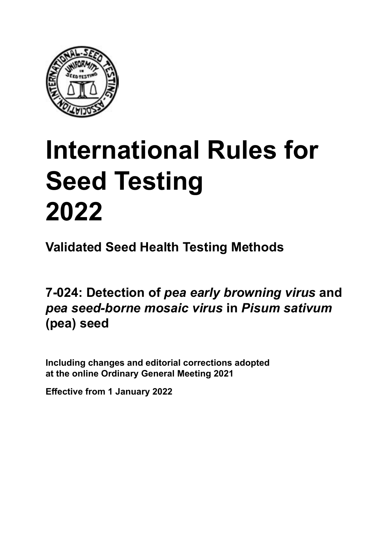

# **International Rules for Seed Testing von Saatgut 2022 2022 Semences 2022 International Rules for Seed Testing 2022**

**Métodos Validados para Análisis de Sanidad de Semillas Validate Méthodes Validées pour Analyse Sanitaire des Semences Validated Seed Health Testing Methods**

7-024: Detection of *pea early browning virus* and pea seed-borne mosaic virus in Pisum sativum *arveja* **en semillas de** *Pisum sativum* **(arveja)** *sativum* **(Erbse) semences de** *Pisum sativum* **(pois) (pea) seed**

Including changes and editorial corrections adopted at the online Ordinary General Meeting 2021

**Effective from 1 January 2022**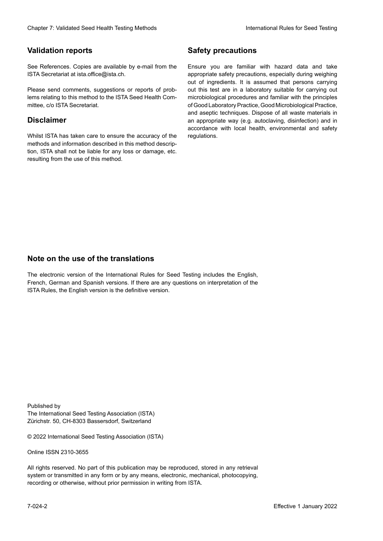### **Validation reports**

See References. Copies are available by e-mail from the<br>ISTA Secretariat at ista.office@ista.ch. ISTA Secretariat at ista.office@ista.ch.

lems relating to this method to the ISTA Seed Health Com-<br>mittee, c/o ISTA Secretariat. mittee, c/o ISTA Secretariat.<br>i Please send comments, suggestions or reports of prob-

### **Limitation de responsabilité Disclaimer**

Whilst ISTA has taken care to ensure the accuracy of the<br>methods and information described in this method description, ISTA shall not be liable for any loss or damage, etc.<br>resulting from the use of this method.<br>. resulting from the use of this method. Whilst ISTA has taken care to ensure the accuracy of the methods and information described in this method descrip-<br>tion, ISTA shall not be liable for any loss or damage, etc. tion, ISTA shall not be liable for any loss or damage, etc.<br>resulting from the use of this method.

### **Medidas de seguridad Sicherheitsmaßnahmen Sécurité Safety precautions**

Ensure you are familiar with hazard data and take Ensure you are familiar with hazard data and take<br>appropriate safety precautions, especially during weighing out of ingredients. It is assumed that persons carrying out this test are in a laboratory suitable for carrying out microbiological procedures and familiar with the principles of Good Laboratory Practice, Good Microbiological Practice, and aseptic techniques. Dispose of all waste materials in an appropriate way (e.g. autoclaving, disinfection) and in accordance with local health, environmental and safety regulations. Glade 7: Validated Deed Health Testing holes by Safety precentions and the Sacrifice of the New York (1991)<br>The Reference Coulis are analyzed by e-rust force on Santy and Santy County of the New York (1992)<br>The Concenter M microbiological procedures and familiar with the principles<br>of Good Laboratory Practice, Good Microbiological Practice,<br>and aseptic techniques. Dispose of all waste materials in<br>an appropriate way (e.g. autoclaving, disinf fallstoffe sind auf geeignete Weise und entsprechend der vor Ort über der vor Ort über und Umwelt- und Umwelt-<br>Eine und Umwelt-Effective Counter of Nicholas Devel Teach Teach Teach Devel Safety precedutions<br>
Yaristotic energy of Safety precedutions and Safety precedutions of the United Safety precedutions of the United Sementary and Sementary and of Good Laboratory Practice, Good Microbiological Practice,<br>and aseptic techniques. Dispose of all waste materials in<br>an appropriate way (e.g. autoclaving, disinfection) and in Validation reports<br>
Since The Texture 1988 and the system of the Since Theorem and the Since Theorem and the system of the Since The Since The Since The Since The Since The Since The Since The Since The Since The Since The Ensure you are familiar with hazard data and take<br>appropriate safety precautions, especially during weighing<br>out of ingredients. It is assumed that persons carrying<br>out this test are in a laboratory suitable for carrying o

### **Nota sobre el uso de traducciones Anmerkung zur Benutzung der Übersetzungen Note on the use of the translations**

The electronic version of the International Rules for Seed Testing includes the English, French, German and Spanish versions. If there are any questions on interpretation of the ISTA Rules, the English version is the definitive version. The electronic version of the International Rules for Seed Testing includes the English,<br>French, German and Spanish versions. If there are any questions on interpretation of the<br>ISTA Rules, the English version is the defin The electronic version of the International Rules for Seed Testing includes the English,<br>French, German and Spanish versions. If there are any questions on interpretation of the

Published by **Extending Association (ISTA)** The International Seed Testing Association (ISTA) Zürichstr. 50, CH-8303 Bassersdorf, Switzerland

© 2022 International Seed Testing Association (ISTA)

Alle Rechte vorbehalten. Kein Teil dieses Werkes darf in irgendwelcher Form oder durch Online ISSN 2310-3655

All rights reserved. No part of this publication may be reproduced, stored in any retrieval All rights reserved. No part of this publication may be reproduced, stored in any retrieval<br>system or transmitted in any form or by any means, electronic, mechanical, photocopying,<br>recording or otherwise, without prior per recording or otherwise, without prior permis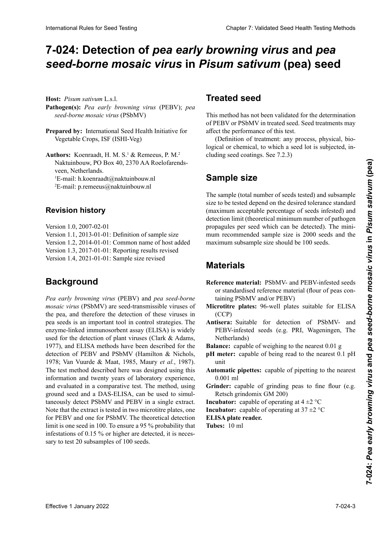# 7-024: Detection of *pea early browning virus* and *pea* seed-borne mosaic virus in Pisum sativum (pea) seed

 $\text{seed-borne}$  *mosaic virus* (PSbMV) **Patógeno(s):** *Virus del pardeamiento temprano de la ar-***Krankheitserreger:** *Pea early browning virus* (PEBV); **Host:** *Pisum sativum* L.s.l. **Pathogen(s):** *Pea early browning virus* (PEBV); *pea* 

**Prepared by:** International Seed Health Initiative for *saico de la arveja* (PSbMV = *pea seed-borne mosaic*   $V$ egetable Crops, ISF (ISHI-Veg)

**Preparado preparado por 10.2270 A A Booleformede** Naktuinbouw, PO Box 40, 2370 AA Roelofarends-<br> **Example:** Natharlands  $E$ <sup>-</sup> $H$ an.  $H$ . Noeth aadt $(H$ and  $\begin{array}{ccc}\n\ldots & \ldots \\
\ldots & \ldots\n\end{array}$ E-man. p.remeeus@naktumbouw.m Authors: Koenraadt, H. M. S.<sup>1</sup> & Remeeus, P. M.<sup>2</sup> veen, Nemerlands.<br>E-mail: h.koenraadt@naktuinbouw.nl L-man, n.nocma<br>2n = 11  $E$ -mail:  $p$ . emeeus $\omega$ naktumbouw.m E-mail: n.koemaadd@naktumbouw.nl<br><sup>2</sup>E-mail: p.remeeus@naktuinbouw.nl veen, Netherlands.

# **Revision history**

Version 1.1, 2013-01-01: Definition of sample size Version 1.3, 2017-01-01: Reporting results revised Version 1.4, 2021-01-01: Sample size revised **Revisionsstand Historique de la révision** Version 1.2, 2014-01-01: Common name of host added Version 1.0, 2007-02-01

#### Versión 1.2, 2014-01-01: Se agrega el nombre común del **Background** Version 1.3, 2017-01-01: "Berichterstattung der Ergebnis-2017-01-01 : « Indications des résultats »

Pea early browning virus (PEBV) and pea seed-borne pea seeds is an important tool in control strategies. The used for the detection of plant viruses (Clark & Adams, 1977), and ELISA methods have been described for the  $\det$  detection of PERV and PSbMV (Hamilton  $\&$  Nichols 1978; Van Vuurde & Maat, 1985, Maury *et al.*, 1987). The test method described here was designed using this information and twenty years of laboratory experience,<br>and evaluated in a comparative test. The method, using<br>ground seed and a DAS-ELISA, can be used to simuland evaluated in a comparative test. The method, using and sydiated in a comparance test. The medied, doing<br>ground seed and a DAS-ELISA, can be used to simultaneously detect PSbMV and PEBV in a single extract. hier besteed the SSN V and  $125V$  in a single extract.<br>Note that the extract is tested in two microtitre plates, one role mat ine extract is tested in two inferonte plates, one lust text und one for f some. The incording detection limit is one seed in 100. To ensure a 95 % probability that mint is one seed in 100. To ensure a  $22/6$  probability that micstations of  $0.13 \times 0.01$  migher are detected, it is necessary to test 20 subsamples of 100 seeds. the pea, and therefore the detection of these viruses in enzyme-linked immunosorbent assay (ELISA) is widely iert. Die die Secu in 100. To ensure a 30 % probability that  $\frac{1}{2}$ mm is one seed in 100. 10 ensure a 33 % probability that<br>infestations of 0.15 % or higher are detected, it is neces-1977), and ELISA methods have been described for the detection of PEBV and PSbMV (Hamilton & Nichols, 1978; Van Vuurde & Maat, 1985, Maury *et al.*, 1987). The test method described here was designed using this informatio taneously detect PSbMV and PEBV in a single extract.<br>Note that the extract is tested in two microtitre plates, one<br>for PEBV and one for PSbMV. The theoretical detection semble de tection (1986 Vs)<br>
This realisable the the detection theoretical est de une semence de the probabilite de une semence de the use.<br>
Yeggethe Crops 150 (SIHU Vsg)<br>
Yeggethe Crops 150. Political est de une probabil International Rule International Rule International Rule of Chapter 7: Validated Seed Testing Chapter 7: Validated Seed Health Testing Chapter 7: Validated Chapter 7: Validated Chapter 7: Validated Chapter 7: Validated Ch *mosaic virus* (PSbMV) are seed-transmissible viruses of detection of PEBV and PSbMV (Hamilton & Nichols,

# **Treated seed**

This method has not been validated for the determination of PEBV or PSbMV in treated seed. Seed treatments may affect the performance of this test.

**Semilla trade**<br> **Behandelle is subjected, in-**<br> **Semillary** process, physical, order cluding seed coatings. See 7.2.3) Cette méthode n'a pas été validée pour la détermine du PEBV ou du PSBMV sur se methode et du PSBMV sur se met<br>Les traitées traitées traitées traitées. Les traites du PSBMV sur se methode du PSBMV sur se methode du PSBMV (Definition of treatment: any process, physical, bio-

### el *virus del mosaico de la arveja* (PSbMV) en semillas tratadas. Los tratamientos a la semilla pueden afectar el thode beeinflussen (Definition Behandlung: Jegliches Ver-**Sample size** PEBV oder PSbMV an behandeltem (gebeiztem) Saatgut. Saatgutbehandlungen können die Aussagekraft dieser Me-

desempeño de este análisis. (Definición de tratamiento: the sample (total number of seeds tested) and subsample size to be tested depend on the desired tolerance standard (maximum acceptable percentage of seeds infested) and mum recommended sample size is 2000 seeds and the fahren, physikalischer, biologischer oder chemischer Na-**Sample size**<br>The sample (total number of seeds tested) and subsample propagules per seed which can be detected). The minimaximum subsample size should be 100 seeds. detection limit (theoretical minimum number of pathogen

#### zadas) y de la sub-muestra a ser analizada, depende de la **tolerancia estándar deseada (porcentaje máximo aceptable máximo aceptable máximo aceptable máximo aceptable máximo aceptable máximo aceptable máximo aceptable máximo aceptable máximo aceptable máximo aceptable máximo acep** der gewünschten Toleranznorm (maximal akzeptabler Pro-

- **WATEFIAIS**<br>Reference material: PSbMV- and PEBV-infested seeds **Materials**<br>Reference material: PSbMV- and PEBV-infested seeds<br>or standardised reference material (flour of peas con-<br>taining PSbMV and/or PEBV) taining PSbMV and/or PEBV) or standardised reference material (flour of peas con-
- Microtitre plates: 96-well plates suitable for ELISA (CCP)
- **Materiales** PEBV-infested seeds (e.g. PRI, Wageningen, The Antisera: Suitable for detection of PSbMV- and  $R$ etherlands) **Metherlands)**<br> **Balance:** capable of weighing to the nearest 0.01 g<br> **IMV, PEBV**, Capable of being read to the nearest 0.1 pH

**Balance:** capable of weighing to the nearest  $0.01$  g **Balance:** capable of weighing to the nearest 0.01 g

- **meter:** canable of being read to the nearest  $\overline{0}$  1 nH  $\frac{1}{2}$  $\frac{1}{2}$  meter canable of being read to the where  $\frac{1}{\epsilon}$  and  $\frac{1}{\epsilon}$  **platter** Places de mit<br> **Plantic de minettes:** canable of pinetting to the nearest **pH meter:** capable of being read to the nearest 0.1 pH unit
- **Automatic pinettes:** capable of pinetting to the nearest  $0.001$  ml  $0.001 \text{ m}$ **Automatic pipettes:** capable of pipetting to the nearest  $0.001 \text{ ml}$
- **Grinder:** capable of grinding peas to fine flour (e.g. **Balance Conflict Community Community** Community Community Community Community Community Community Community Community Community Community Community Community Community Community Community Community Community Community Com

**Incubator:** capable of operating at  $4 \pm 2$  °C

 $\text{Hence, } \text{Laplace of } \text{ } \text{and} \text{ } \text{Laplace}$ **Medidator.** Capable of operating at  $37 \pm 2$  C  $\frac{m}{\epsilon}$  are  $\frac{m}{\epsilon}$  and  $\frac{m}{\epsilon}$  phenomenon generating at  $\frac{m}{2}$ . **PIPE TRA**  $\alpha$  Plate *pipe de von 0,000 ml pipe de von 10.000 ml pipe de von 0,000 ml pipe de von 0,000 ml pipe de von 0,000 ml pipe de von 0,000 ml pipe de von 0,000 ml pipe de von 0,000 ml pipe de von 0,000 ml pipe de* **Pipetimation:** capable of operating at  $37 \pm 2$  °C

**ELISA plate reader.** 

**ELISA pIAC ICAUCI.**<br>Television de p **Princes.** To make para tomar lo más cerra tomar lo más cerra tomar los estados en el segundo de la para tomar lo más con el segundo de la para tomar lo más con el para tomar lo más con el para tomar lo más con el para tom **ELISA plate reader.**<br>Tubes: 10 ml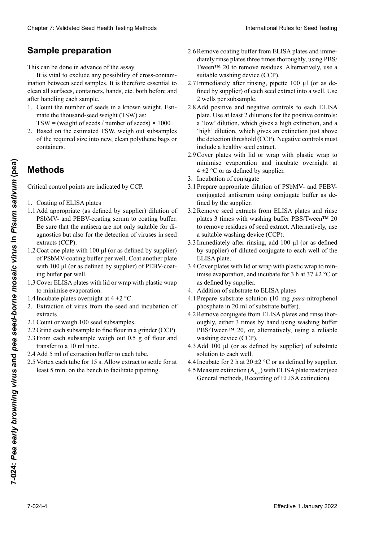# **Preparación de la muestra Probenvorbereitung Préparation de l'échantillon Sample preparation**

This can be done in advance of the assay.

It is vital to exclude any possibility of cross-contamination between seed samples. It is therefore essential to<br>clean all surfaces, containers, hands, etc. both before and<br>after handling each sample. clean all surfaces, containers, hands, etc. both before and after handling each sample. It is vital to exclude any possibility of cross-contamination between seed samples. It is therefore essential to clean all surfaces, containers, hands, etc. both before and ination between seed samples. It is therefore essential to

- 1. Count the number of seeds in a known weight. Estimate the thousand-seed weight (TSW) as: TSW = (weight of seeds / number of seeds)  $\times$  1000 properties, mainting each sample.<br>
1. Count the number of seeds in a known weight. Estimate the rhousand-seed weight (TSW) as: 1. Count the number of seeds in a known weight. Esti-
- 2. Based on the estimated TSW, weigh out subsamples 2. En externa de la Polanda de la Polanda de la Polanda de la Polanda de la Polanda de la Polanda de la Polanda tamaño requirido en bolsario en bolsas de polisas de politicas de politicas de politicas de politicas de politicas en politicas de politicas de politicas de politicas de politicas de politicas de politicas de politicas de  $l$ de the solution of the solution of the required size into new clean polythene bags or um von Hand den Hand gemischte werden, um eine Dang der Micontainers. of the required size into new, clean polythene bags or containers.

#### **Métodos** bestimmen. Bereichnung des Tausendeutschaftes des Tausendeutschaftes des Tausendeutschaftes des Tausendeutscha **Methods**  $\Omega$

Crítical control points are muicated by CCF.  $T = (G - 1)(S - 1)$  and  $T = (G - 1)(S - 1)$  $\mathcal{L}_{\text{I}}$  $M = (m+1)(m+1)$  nombre de semences  $M = (m+1)(m+1)$ Critical control points are indicated by CCP.

- $2.8 \times 2.5$  basierend auf dem ermittelten T $\sim$ 1. Coating of ELISA plates
- 1. Coaung of ELISA plates  $\frac{1}{2}$ 1. Coating of ELISA plates<br>1.1 Add appropriate (as defined by supplier) dilution of PSbMV- and PEBV-coating serum to coating buffer. Be sure that the antisera are not only suitable for diagnostics but also for the detection of viruses in seed extracts (CCP). **Effective 1 All controls**<br> **Examples the comparison and interior experimentally CCP.**<br> **Examples of FRSMV-and PFRV-**<br> **Examples of FRSMV-and PFRV-**<br> **Examples of FRSMV-and PFRV-**<br> **Examples of FRSMV-and PFRV-**<br> **Examples** 
	- $1.2$  Coat one plate with 100  $\mu$ l (or as defined by supplier) of PSbMV-coating buffer per well. Coat another plate with 100  $\mu$ l (or as defined by supplier) of PEBV-coating buffer per well.
	- Cover ELISA plates with lid or wrap with plastic wrap to minimise evaporation. 1.3 Cover ELISA plates with lid or wrap with plastic wrap<br>to minimise evaporation. 1.3Cover ELISA plates with lid or wrap with plastic wrap
	- 1.4 Incubate plates overnight at  $4 \pm 2$  °C.
	- 1.4 Incubate plates overnight at  $4 \pm 2$  °C.<br>2. Extraction of virus from the seed and incubation of extracts durante toda la noche a 4 ±2 °C.
	- 2.1 Count or weigh 100 seed subsamples.
	- 2.1 Count or weigh 100 seed subsamples.<br>2.2 Grind each subsample to fine flour in a grinder (CCP).
	- 2.3 From each subsample weigh out 0.5 g of flour and transfer to a 10 ml tube. transfer to a 10 ml tube.<br>2.4 Add 5 ml of extraction buffer to each tube.
	-
	- 2.5 Vortex each tube for 15 s. Allow extract to settle for at<br>least 5 min on the bench to facilitate pinetting  $\frac{1}{2}$  least 5 min. on the  $\frac{1}{4}$   $\frac{1}{2}$  m least 5 min on the bench to facilitate nu least 5 min. on the bench to facilitate pipetting.
- 2.6 Remove coating buffer from ELISA plates and imme-<br>diately rinse plates three times thoroughly, using PBS/ diately rinse plates three times thoroughly, using PBS/ 2.6 Remove coating buffer from ELISA plates and immediately rinse plates three times thoroughly, using PBS/<br>Tween™ 20 to remove residues. Alternatively, use a suitable washing device (CCP).
- Immediately after rinsing, pipette  $100 \mu l$  (or as defined by supplier) of each seed extract into a well. Use fined by supplier) of each seed extract into a well. Use 2 wells per subsample. Suitable washing device (CCP).<br>2.7 Immediately after rinsing, pipette 100 μl (or as de-<br>fined by supplier) of each seed extract into a well. Use<br>2 wells per subsample. 2.7 Immediately after rinsing, pipette 100 µl (or as de-
- 2.8 Add positive and negative controls to each ELISA plate. Use at least 2 dilutions for the positive controls: n<br>a 'low' dilution, which gives a high extinction, and a 'high' dilution, which gives an extinction just above the detection threshold (CCP). Negative controls must include a healthy seed extract. Clearly 7: Validierte Estatistics (methods)<br>
Sample preparatelle (methods) absolved prices absolved to the methods of the prices absolved to the methods of the sample international clear to the methods of the sample of th Chaos 7 Validated Seed Health works also be the method **Same of the United Section 10** be the state of the state of the state of the state of the state of the state of the state of the state of the state of the state of t 2.8 Add positive and negative controls to each ELISA<br>plate. Use at least 2 dilutions for the positive controls:<br>a 'low' dilution, which gives a high extinction, and a<br>thigh' dilution which gives an extinction just above
	- morate a nearily seed entract.<br>2.9 Cover plates with lid or wrap with plastic wrap to 2.9 COVE places with he of whap with place whap to  $p_{\text{min}}$  are exporation and measure overing  $p_{\text{min}}$  and  $p_{\text{min}}$  $4 \pm 2$  °C or as defined by supplier. minimise evaporation and incubate overnight at  $4 \pm 2$  °C or as defined by supplier.<br>Incubation of conjugate
	- 3. Incubation di conjugate 3. Incubation of conjugate
	- 3.1 Prepare appropriate difution of PSONIV- and PEDVconjugated antiserum using conjugate buffer as defined by the supplier. conjugated antiserum using conjugate burier as de-<br>fined by the supplier.<br>3.2 Remove seed extracts from ELISA plates and rinse  $\sum_{k=0}^{\infty}$ . Die negativkontrollen müssen müssen einen ge $r$ repare appropriate diffution of  $r$ . conjugated antiserum using conjugate buffer as de-<br>fined by the supplier. 3.1 Prepare appropriate dilution of PSbMV- and PEBV-
	- 3.2 Remove seed extracts from ELISA plates and rinse<br>plates 3 times with washing buffer PBS/Tween<sup>TM</sup> 20 to remove residues of seed extract. Alternatively, use a suitable washing device (CCP). to remove residues of seed extract. Alternatively, use<br>a suitable washing device (CCP).<br>3.3 Immediately after rinsing, add 100  $\mu$ l (or as defined
	- by supplier) of diluted conjugate to each well of the ELISA plate. by supplier) of diluted conjugate to each well of the<br>ELISA plate.<br>3.4 Cover plates with lid or wrap with plastic wrap to min-
	- imise evaporation, and incubate for 3 h at  $37 \pm 2$  °C or as defined by supplier. as defined by supplier.
	- 4. Addition of substrate to ELISA plates
	- 4.1 Prepare substrate solution (10 mg *para*-nitrophenol phosphate in 20 ml of substrate buffer).
	- 4.2 Remove conjugate from ELISA plates and rinse thoroughly, either 3 times by hand using washing buffer PBS/Tween<sup>TM</sup> 20, or, alternatively, using a reliable washing device (CCP). oughly, either 3 times by hand using washing buffer PBS/Tween<sup>TM</sup> 20, or, alternatively, using a reliable washing device (CCP). PBS/Tween™ 20, or, alternatively, using a reliable
	- 4.3 Add 100  $\mu$ l (or as defined by supplier) of substrate solution to each well.
	- 4.4 Incubate for 2 h at  $20 \pm 2$  °C or as defined by supplier.
	- 4.5 Measure extinction ( $A<sub>405</sub>$ ) with ELISA plate reader (see  $\frac{405}{2}$  I General methods Recording of ELISA extinction  $\frac{405}{405}$  Enternal methods. Recording of ELISA-extinction General methods, Recording of ELISA extinction).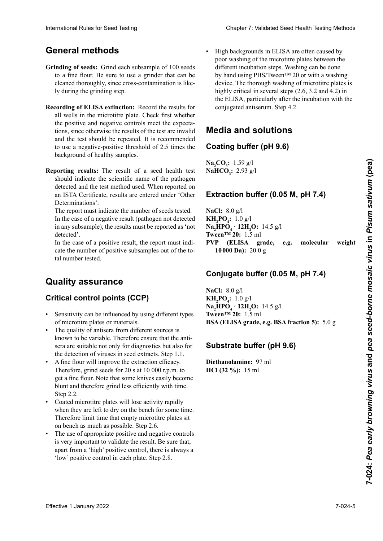# **Métodos generales Allgemeine Methoden Méthodes générales General methods**

- Grinding of seeds: Grind each subsample of 100 seeds<br>to a fine flour. Be sure to use a grinder that can be to a fine flour. Be sure to use a grinder that can be cleaned thoroughly, since cross-contamination is like-<br>ly during the grinding step. ly during the grinding step. etapa de molienda. während der Mahlschritte möglich sind.
- all wells in the microtitre plate. Check first whether the positive and negative controls meet the expecta- $\frac{1}{1}$  is a control control of the text and invalid and the test should be repeated. It is recommended<br>to use a negative positive threshold of 2.5 times the to use a negative-positive threshold of 2.5 times the<br>to use a negative-positive threshold of 2.5 times the dos dos une petidos y el análisis de la completa une ser recomedade un electronical un electronical un electronical un electronical un electronical un electronical un electronical un electronical un electronical un electro buokground of healing samples. te deel negative positive amesiteit et 215 annes are the positive and negative controls meet the expecta-<br>tions, since otherwise the results of the test are invalid<br>and the test should be repeated. It is recommended background of healthy samples. **Recording of ELISA extinction:** Record the results for
- absorbancia de las muestras sanas. nen negativ-positiv Schwellenwert des 2,5-fachen des Hintergrundes der Gesundprobe zu verwenden. **Reporting results:** The result of a seed health test should indicate the selection hande of the painting<br>detected and the test method used. When reported on<br>an ISTA Certificate, results are entered under 'Other  $\frac{1}{2}$ an ISTA Certificate, results are entered under 'Other<br>Determinations'. Determinations .<br>— **Indicate the scientific name of the pathogen** meterminations .<br>
Separations dans le Bulletin ISTA. Determinations'.

I he report must indicate the number of seeds tested. In the case of a negative result (pathogen not detected in any subsample), the results must be reported as 'not<br>detected'.  $\theta$  detected. detected'. The report must indicate the number of seeds tested.

In the case of a positive result, the report must indicate the number of positive subsamples out of the to-<br>tal number tested. tal number tested.

#### del número analizado. der positiven zur Gesamtzahl untersuchter Teilproben **Quality assurance**

# **Quality assurance<br>Critical control points (CCP) Qualitätssicherung**

- Sensitivity can be influenced by using different types of microtitre plates or materials.
- The quality of antisera from different sources is<br>known to be variable. Therefore ensure that the antiknown to be variable. Therefore ensure that the antisera are suitable not only for diagnostics but also for the detection of viruses in seed extracts. Step 1.1.
- A fine flour will improve the extraction efficacy. Therefore, grind seeds for 20 s at  $10\,000$  r.p.m. to<br>get a fine flour. Note that some knives easily become get a fine flour. Note that some knives easily become<br>blunt and therefore grind less efficiently with time os virus en la constant de semillas (Paso 1.1).<br>Nunt and therefore grind loss officiently with ti vant una metoriore grina ress embremar de la terre.<br>Store 9.9 erant and ancience game rese emercing want ame.<br>Step 2.2.<br>Coated microtitre plates will lose activity rapidly blunt and therefore grind less efficiently with time. Step 2.2.
- 0000 rpm para obtener una haria finale de la guerra de la guerra de la guerra de la guerra de la guerra de la guerra de la guerra de la guerra de la guerra de la guerra de la guerra de la guerra de la guerra de la guerra d when they are felt to dry on the ochem for some time. Therefore limit time that empty microtitre plates sit on benen as muen as possible. Step  $2.0$ . • Coated microtitre plates will lose activity rapidly<br>when they are left to dry on the bench for some time.<br> $\Gamma$ un denen as muen as possible. Step 2.0.<br> $\mathbb{E}$ because interval to places with lose derivity rapidly when they are left to dry on the bench for some time. on bench as much as possible. Step 2.6.
- rífic use or appropriate positive and negative controls is very important to validate the result. Be sure that, apart from a 'high' positive control, there is always a 'low' positive control in each plate. Step 2.8. • The use of appropriate positive and negative controls
- High backgrounds in ELISA are often caused by poor washing of the microtitre plates between the different incubation steps. Washing can be done by hand using PBS/Tween™ 20 or with a washing device. The thorough washing of microtitre plates is highly critical in several steps (2.6, 3.2 and 4.2) in<br>the ELISA, particularly after the incubation with the<br>conjugated antiserum. Step 4.2. the ELISA, particularly after the incubation with the<br>conjugated antiserum Sten 4 2 conjugated antiserum. Step 4.2.  $\overline{c}$ • High backgrounds in ELISA are often caused by<br>poor washing of the microtitre plates between the<br>different incubation steps. Washing can be done<br>by hand using PBS/Tween<sup>TM</sup> 20 or with a washing<br>device. The thorough washi  $\sum_{i=1}^{n}$ International Rules for Seed Testing Comparison Chapter 7: Validated Seed Health Testing Validated Chapter 7: Validated Seed and the Seed Seed Chapter 1 January 2022<br>
Crimating of seeds. Climated Seed Methods Rules for Me different incubation steps. Washing can be done

#### edia and solutions es muy crítico en varias pasos del ELISA (2.6, 3.2 y 4.2), partiden einzelnen Inkubationsschritten verwendeten verwendeten verwendeten verwendeten verwendeten verwendeten ver<br>Das der das der das der das der das der das der das der das der das der das der das der das der das der das de edia and solutions<br>eting buffer (pH 9.6)<br>pour l'ELISA, 4.2, 4.20, 4.20, 4.20, 4.20, 4.20, 4.20, 4.20 **Media and solutions**

#### cularmente después de la incubación de la incubación de la incubación de la incubación de la incubación de la <br>La incubación de la incubación de la incubación de la incubación de la incubación de la incubación de la incub coniguado (Pi Wating huffer (nH 9 G) Coating buffer (pH 9.6)

**MahCO<sub>3</sub>:** 2.93 g/l  $\textbf{Na}_2\textbf{CO}_3$ : 1.59 g/l  $\frac{1}{2}$   $\frac{1}{3}$ ,  $\frac{1}{2}$ ,  $\frac{2}{3}$ ,  $\frac{2}{3}$ ,  $\frac{2}{3}$  in ELISA,  $\frac{2}{3}$  $\mathbf{h}$ ,  $\mathbf{v}_3$ ,  $\mathbf{v}$ ,  $\mathbf{v}_4$ **Na<sub>2</sub>CO<sub>3</sub>:** 1.59 g/l<br>**NaHCO<sub>3</sub>:** 2.93 g/l

### **Buffer de sensibilización (pH 9,6)** Extraction buffer (0.05 M, pH 7.4)

 $N_2Cl_2$ , 9.0  $\alpha$ <sup>1</sup> **NaCI:** 8.9 g/l<br>**EILDO** : 1.0 s/l **EXECUTM 20:** 1.5 ml **10000 Da):** 20.0 g **NaCl:** 8.0 g/l **KH<sub>2</sub>PO<sub>4</sub>:**  $1.0 \text{ g/l}$ **PVP (ELISA grade, e.g. molecular weight <br>
<b>19900 D** 2000  $\mathbf{Na}_2\mathbf{HPO}_4 \cdot \mathbf{12H}_2\mathbf{O}: 14.5 \text{ g/l}$ 

#### **Na2 HPO4 · 12H2** Conjugate buff **Extraktionspuffer (0.05 M, pH 7.4)** Conjugate buffer (0.05 M, pH 7.4)

**NaCl:** 8.0 g/l  $\text{Twoen}^{\text{TM}}$  20: 1.5 ml **KH<sub>2</sub>PO<sub>4</sub>:** 1.0 g/l **O:** 14,5 g  $\mathbf{Na}_2 \mathbf{\ddot{H}} \mathbf{PO}_4 \cdot \mathbf{12H}_2 \mathbf{O}: 14.5 \text{ g/l}$ BSA (ELISA grade, e.g. BSA fraction 5): 5.0 g

### **Substrate buffer (pH 9.6) BSA (ELISA grade, p. ex. BSA fraction 5) :** 5,0 g

**Diethanolamine:** 97 ml  $HCl$  (32 %): 1 **Na2 HPO4**  $\frac{1}{2}$  12H<sub>2</sub>  $\frac{1}{2}$  12H<sub>2</sub>  $\frac{1}{2}$  12H<sub>2</sub>  $\frac{1}{2}$  12H<sub>2</sub>  $\frac{1}{2}$  12H<sub>2</sub>  $\frac{1}{2}$  12H<sub>2</sub>  $\frac{1}{2}$  12H<sub>2</sub>  $\frac{1}{2}$  12H<sub>2</sub>  $\frac{1}{2}$  12H<sub>2</sub>  $\frac{1}{2}$  12H<sub>2</sub>  $\frac{1}{2}$  12H<sub>2</sub>  $\frac{1}{2}$  12H<sub>2</sub>  $\frac{1}{2}$  **HCl (32 %):** 15 ml